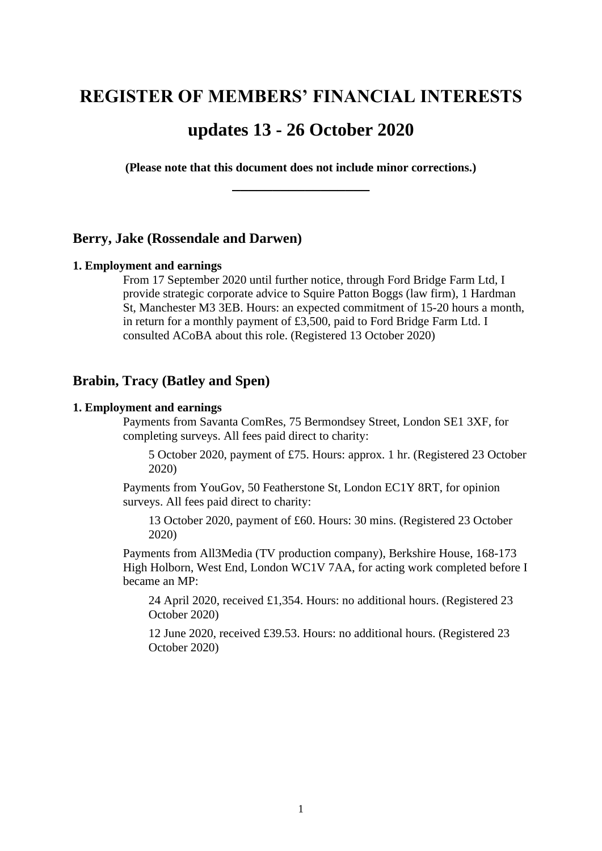# **REGISTER OF MEMBERS' FINANCIAL INTERESTS**

# **updates 13 - 26 October 2020**

**(Please note that this document does not include minor corrections.) \_\_\_\_\_\_\_\_\_\_\_\_\_\_\_\_\_**

### **Berry, Jake (Rossendale and Darwen)**

#### **1. Employment and earnings**

From 17 September 2020 until further notice, through Ford Bridge Farm Ltd, I provide strategic corporate advice to Squire Patton Boggs (law firm), 1 Hardman St, Manchester M3 3EB. Hours: an expected commitment of 15-20 hours a month, in return for a monthly payment of £3,500, paid to Ford Bridge Farm Ltd. I consulted ACoBA about this role. (Registered 13 October 2020)

### **Brabin, Tracy (Batley and Spen)**

#### **1. Employment and earnings**

Payments from Savanta ComRes, 75 Bermondsey Street, London SE1 3XF, for completing surveys. All fees paid direct to charity:

5 October 2020, payment of £75. Hours: approx. 1 hr. (Registered 23 October 2020)

Payments from YouGov, 50 Featherstone St, London EC1Y 8RT, for opinion surveys. All fees paid direct to charity:

13 October 2020, payment of £60. Hours: 30 mins. (Registered 23 October 2020)

Payments from All3Media (TV production company), Berkshire House, 168-173 High Holborn, West End, London WC1V 7AA, for acting work completed before I became an MP:

24 April 2020, received £1,354. Hours: no additional hours. (Registered 23 October 2020)

12 June 2020, received £39.53. Hours: no additional hours. (Registered 23 October 2020)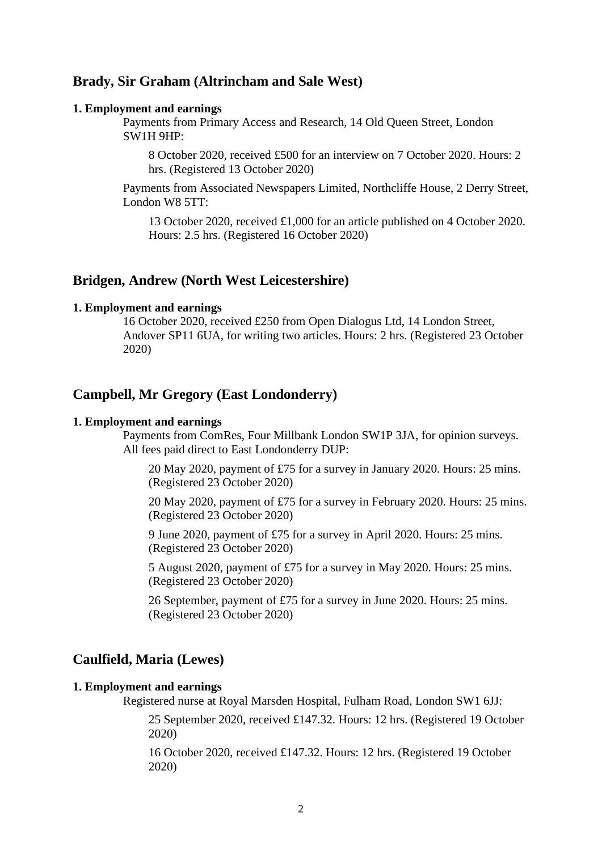### **Brady, Sir Graham (Altrincham and Sale West)**

#### **1. Employment and earnings**

Payments from Primary Access and Research, 14 Old Queen Street, London SW1H 9HP:

8 October 2020, received £500 for an interview on 7 October 2020. Hours: 2 hrs. (Registered 13 October 2020)

Payments from Associated Newspapers Limited, Northcliffe House, 2 Derry Street, London W8 5TT:

13 October 2020, received £1,000 for an article published on 4 October 2020. Hours: 2.5 hrs. (Registered 16 October 2020)

### **Bridgen, Andrew (North West Leicestershire)**

#### **1. Employment and earnings**

16 October 2020, received £250 from Open Dialogus Ltd, 14 London Street, Andover SP11 6UA, for writing two articles. Hours: 2 hrs. (Registered 23 October 2020)

# **Campbell, Mr Gregory (East Londonderry)**

#### **1. Employment and earnings**

Payments from ComRes, Four Millbank London SW1P 3JA, for opinion surveys. All fees paid direct to East Londonderry DUP:

20 May 2020, payment of £75 for a survey in January 2020. Hours: 25 mins. (Registered 23 October 2020)

20 May 2020, payment of £75 for a survey in February 2020. Hours: 25 mins. (Registered 23 October 2020)

9 June 2020, payment of £75 for a survey in April 2020. Hours: 25 mins. (Registered 23 October 2020)

5 August 2020, payment of £75 for a survey in May 2020. Hours: 25 mins. (Registered 23 October 2020)

26 September, payment of £75 for a survey in June 2020. Hours: 25 mins. (Registered 23 October 2020)

# **Caulfield, Maria (Lewes)**

#### **1. Employment and earnings**

Registered nurse at Royal Marsden Hospital, Fulham Road, London SW1 6JJ:

25 September 2020, received £147.32. Hours: 12 hrs. (Registered 19 October 2020)

16 October 2020, received £147.32. Hours: 12 hrs. (Registered 19 October 2020)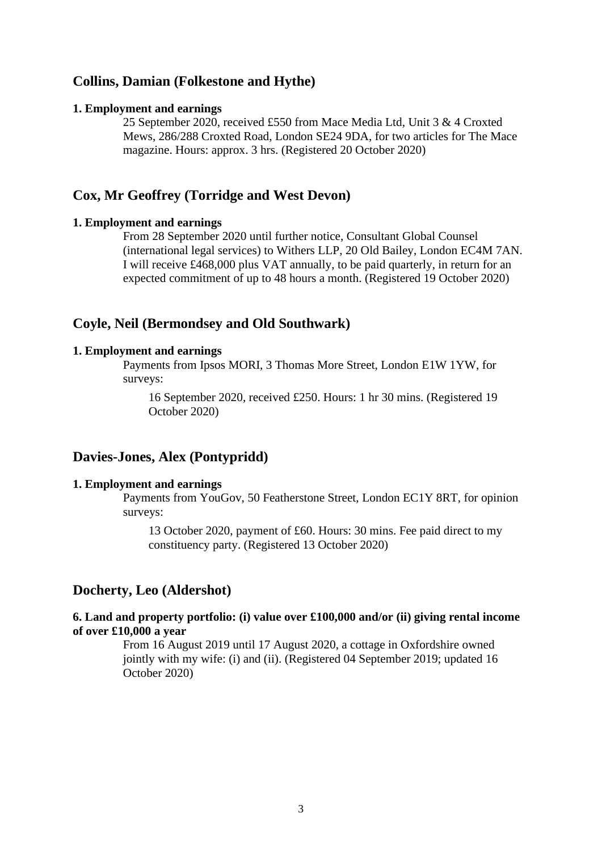# **Collins, Damian (Folkestone and Hythe)**

#### **1. Employment and earnings**

25 September 2020, received £550 from Mace Media Ltd, Unit 3 & 4 Croxted Mews, 286/288 Croxted Road, London SE24 9DA, for two articles for The Mace magazine. Hours: approx. 3 hrs. (Registered 20 October 2020)

# **Cox, Mr Geoffrey (Torridge and West Devon)**

### **1. Employment and earnings**

From 28 September 2020 until further notice, Consultant Global Counsel (international legal services) to Withers LLP, 20 Old Bailey, London EC4M 7AN. I will receive £468,000 plus VAT annually, to be paid quarterly, in return for an expected commitment of up to 48 hours a month. (Registered 19 October 2020)

# **Coyle, Neil (Bermondsey and Old Southwark)**

### **1. Employment and earnings**

Payments from Ipsos MORI, 3 Thomas More Street, London E1W 1YW, for surveys:

16 September 2020, received £250. Hours: 1 hr 30 mins. (Registered 19 October 2020)

# **Davies-Jones, Alex (Pontypridd)**

#### **1. Employment and earnings**

Payments from YouGov, 50 Featherstone Street, London EC1Y 8RT, for opinion surveys:

13 October 2020, payment of £60. Hours: 30 mins. Fee paid direct to my constituency party. (Registered 13 October 2020)

# **Docherty, Leo (Aldershot)**

**6. Land and property portfolio: (i) value over £100,000 and/or (ii) giving rental income of over £10,000 a year**

> From 16 August 2019 until 17 August 2020, a cottage in Oxfordshire owned jointly with my wife: (i) and (ii). (Registered 04 September 2019; updated 16 October 2020)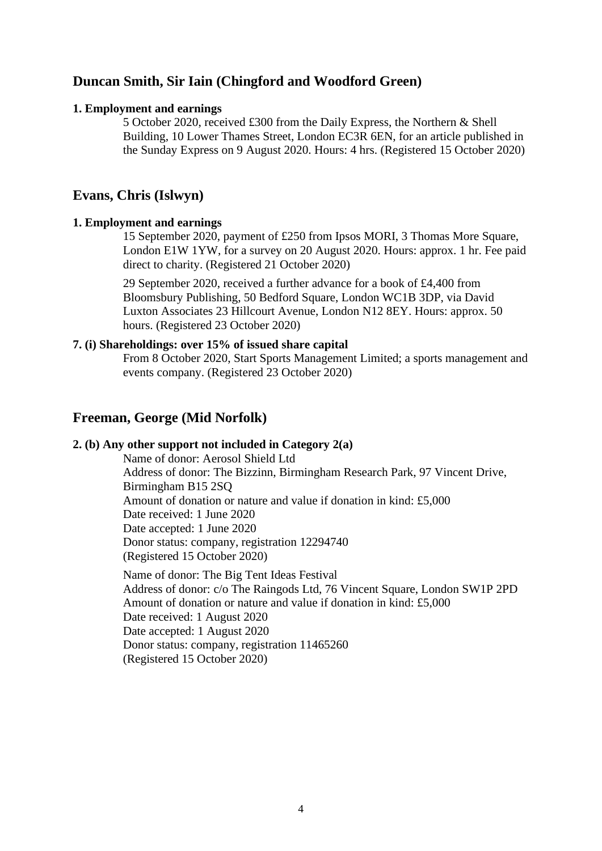# **Duncan Smith, Sir Iain (Chingford and Woodford Green)**

#### **1. Employment and earnings**

5 October 2020, received £300 from the Daily Express, the Northern & Shell Building, 10 Lower Thames Street, London EC3R 6EN, for an article published in the Sunday Express on 9 August 2020. Hours: 4 hrs. (Registered 15 October 2020)

# **Evans, Chris (Islwyn)**

#### **1. Employment and earnings**

15 September 2020, payment of £250 from Ipsos MORI, 3 Thomas More Square, London E1W 1YW, for a survey on 20 August 2020. Hours: approx. 1 hr. Fee paid direct to charity. (Registered 21 October 2020)

29 September 2020, received a further advance for a book of £4,400 from Bloomsbury Publishing, 50 Bedford Square, London WC1B 3DP, via David Luxton Associates 23 Hillcourt Avenue, London N12 8EY. Hours: approx. 50 hours. (Registered 23 October 2020)

#### **7. (i) Shareholdings: over 15% of issued share capital**

From 8 October 2020, Start Sports Management Limited; a sports management and events company. (Registered 23 October 2020)

# **Freeman, George (Mid Norfolk)**

#### **2. (b) Any other support not included in Category 2(a)**

Name of donor: Aerosol Shield Ltd Address of donor: The Bizzinn, Birmingham Research Park, 97 Vincent Drive, Birmingham B15 2SQ Amount of donation or nature and value if donation in kind: £5,000 Date received: 1 June 2020 Date accepted: 1 June 2020 Donor status: company, registration 12294740 (Registered 15 October 2020)

Name of donor: The Big Tent Ideas Festival Address of donor: c/o The Raingods Ltd, 76 Vincent Square, London SW1P 2PD Amount of donation or nature and value if donation in kind: £5,000 Date received: 1 August 2020 Date accepted: 1 August 2020 Donor status: company, registration 11465260 (Registered 15 October 2020)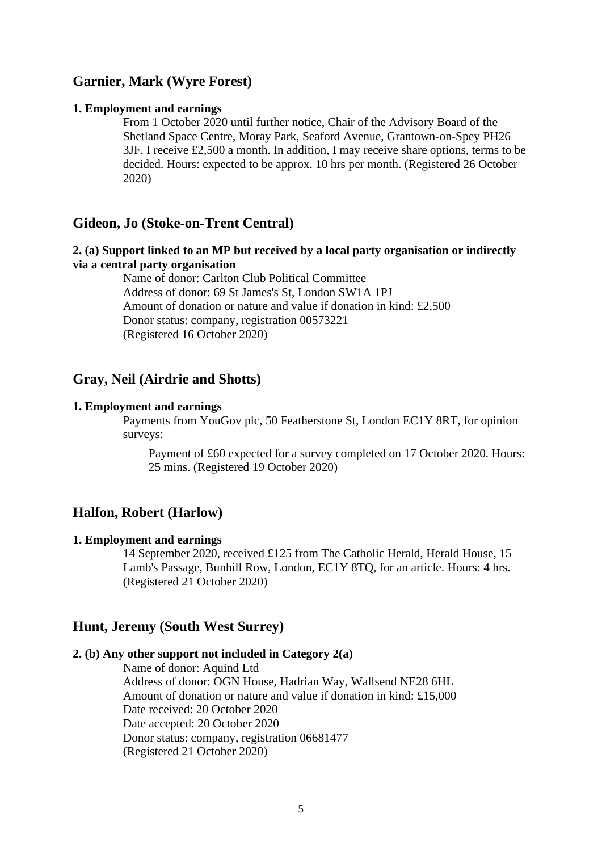### **Garnier, Mark (Wyre Forest)**

#### **1. Employment and earnings**

From 1 October 2020 until further notice, Chair of the Advisory Board of the Shetland Space Centre, Moray Park, Seaford Avenue, Grantown-on-Spey PH26 3JF. I receive £2,500 a month. In addition, I may receive share options, terms to be decided. Hours: expected to be approx. 10 hrs per month. (Registered 26 October 2020)

### **Gideon, Jo (Stoke-on-Trent Central)**

### **2. (a) Support linked to an MP but received by a local party organisation or indirectly via a central party organisation**

Name of donor: Carlton Club Political Committee Address of donor: 69 St James's St, London SW1A 1PJ Amount of donation or nature and value if donation in kind: £2,500 Donor status: company, registration 00573221 (Registered 16 October 2020)

### **Gray, Neil (Airdrie and Shotts)**

#### **1. Employment and earnings**

Payments from YouGov plc, 50 Featherstone St, London EC1Y 8RT, for opinion surveys:

Payment of £60 expected for a survey completed on 17 October 2020. Hours: 25 mins. (Registered 19 October 2020)

### **Halfon, Robert (Harlow)**

#### **1. Employment and earnings**

14 September 2020, received £125 from The Catholic Herald, Herald House, 15 Lamb's Passage, Bunhill Row, London, EC1Y 8TQ, for an article. Hours: 4 hrs. (Registered 21 October 2020)

### **Hunt, Jeremy (South West Surrey)**

### **2. (b) Any other support not included in Category 2(a)**

Name of donor: Aquind Ltd Address of donor: OGN House, Hadrian Way, Wallsend NE28 6HL Amount of donation or nature and value if donation in kind: £15,000 Date received: 20 October 2020 Date accepted: 20 October 2020 Donor status: company, registration 06681477 (Registered 21 October 2020)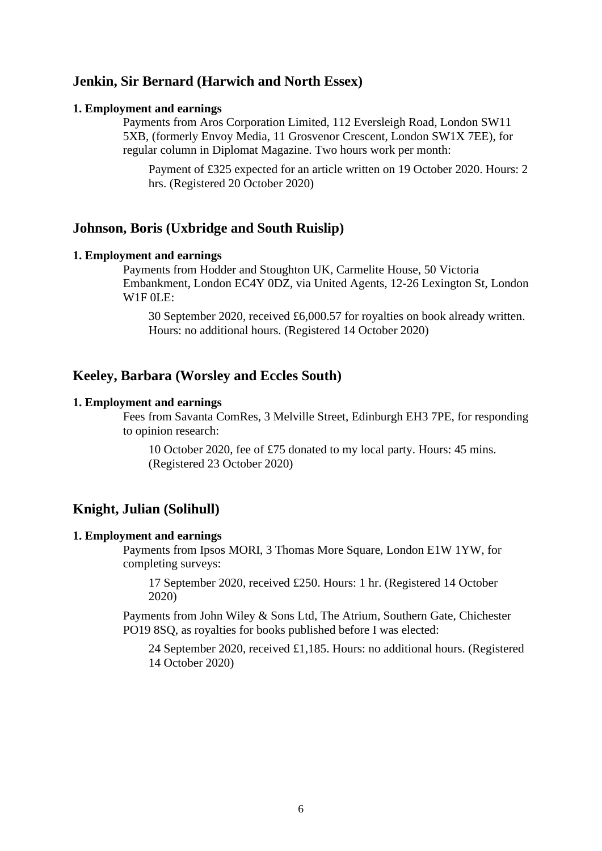# **Jenkin, Sir Bernard (Harwich and North Essex)**

#### **1. Employment and earnings**

Payments from Aros Corporation Limited, 112 Eversleigh Road, London SW11 5XB, (formerly Envoy Media, 11 Grosvenor Crescent, London SW1X 7EE), for regular column in Diplomat Magazine. Two hours work per month:

Payment of £325 expected for an article written on 19 October 2020. Hours: 2 hrs. (Registered 20 October 2020)

# **Johnson, Boris (Uxbridge and South Ruislip)**

### **1. Employment and earnings**

Payments from Hodder and Stoughton UK, Carmelite House, 50 Victoria Embankment, London EC4Y 0DZ, via United Agents, 12-26 Lexington St, London W1F 0LE:

30 September 2020, received £6,000.57 for royalties on book already written. Hours: no additional hours. (Registered 14 October 2020)

### **Keeley, Barbara (Worsley and Eccles South)**

#### **1. Employment and earnings**

Fees from Savanta ComRes, 3 Melville Street, Edinburgh EH3 7PE, for responding to opinion research:

10 October 2020, fee of £75 donated to my local party. Hours: 45 mins. (Registered 23 October 2020)

### **Knight, Julian (Solihull)**

#### **1. Employment and earnings**

Payments from Ipsos MORI, 3 Thomas More Square, London E1W 1YW, for completing surveys:

17 September 2020, received £250. Hours: 1 hr. (Registered 14 October 2020)

Payments from John Wiley & Sons Ltd, The Atrium, Southern Gate, Chichester PO19 8SQ, as royalties for books published before I was elected:

24 September 2020, received £1,185. Hours: no additional hours. (Registered 14 October 2020)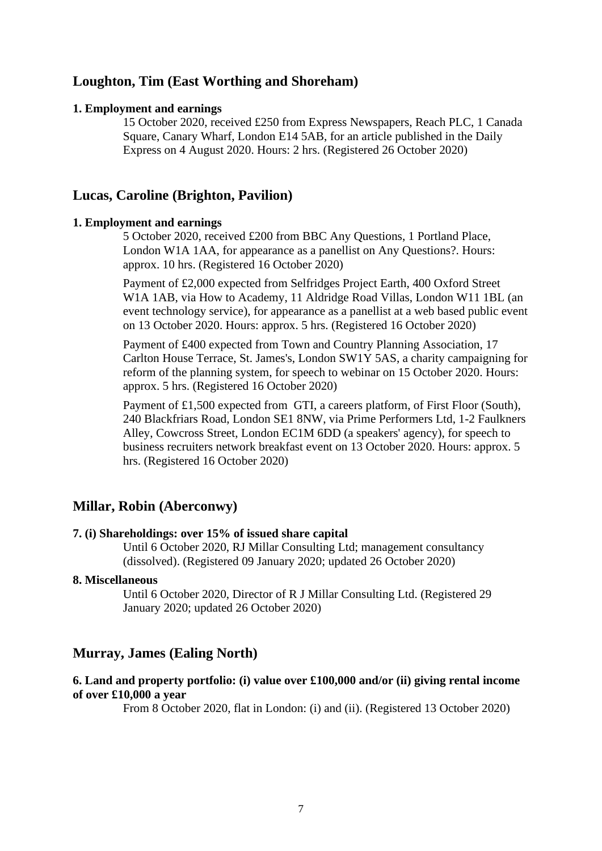# **Loughton, Tim (East Worthing and Shoreham)**

#### **1. Employment and earnings**

15 October 2020, received £250 from Express Newspapers, Reach PLC, 1 Canada Square, Canary Wharf, London E14 5AB, for an article published in the Daily Express on 4 August 2020. Hours: 2 hrs. (Registered 26 October 2020)

# **Lucas, Caroline (Brighton, Pavilion)**

### **1. Employment and earnings**

5 October 2020, received £200 from BBC Any Questions, 1 Portland Place, London W1A 1AA, for appearance as a panellist on Any Questions?. Hours: approx. 10 hrs. (Registered 16 October 2020)

Payment of £2,000 expected from Selfridges Project Earth, 400 Oxford Street W1A 1AB, via How to Academy, 11 Aldridge Road Villas, London W11 1BL (an event technology service), for appearance as a panellist at a web based public event on 13 October 2020. Hours: approx. 5 hrs. (Registered 16 October 2020)

Payment of £400 expected from Town and Country Planning Association, 17 Carlton House Terrace, St. James's, London SW1Y 5AS, a charity campaigning for reform of the planning system, for speech to webinar on 15 October 2020. Hours: approx. 5 hrs. (Registered 16 October 2020)

Payment of £1,500 expected from GTI, a careers platform, of First Floor (South), 240 Blackfriars Road, London SE1 8NW, via Prime Performers Ltd, 1-2 Faulkners Alley, Cowcross Street, London EC1M 6DD (a speakers' agency), for speech to business recruiters network breakfast event on 13 October 2020. Hours: approx. 5 hrs. (Registered 16 October 2020)

# **Millar, Robin (Aberconwy)**

### **7. (i) Shareholdings: over 15% of issued share capital**

Until 6 October 2020, RJ Millar Consulting Ltd; management consultancy (dissolved). (Registered 09 January 2020; updated 26 October 2020)

### **8. Miscellaneous**

Until 6 October 2020, Director of R J Millar Consulting Ltd. (Registered 29 January 2020; updated 26 October 2020)

# **Murray, James (Ealing North)**

# **6. Land and property portfolio: (i) value over £100,000 and/or (ii) giving rental income of over £10,000 a year**

From 8 October 2020, flat in London: (i) and (ii). (Registered 13 October 2020)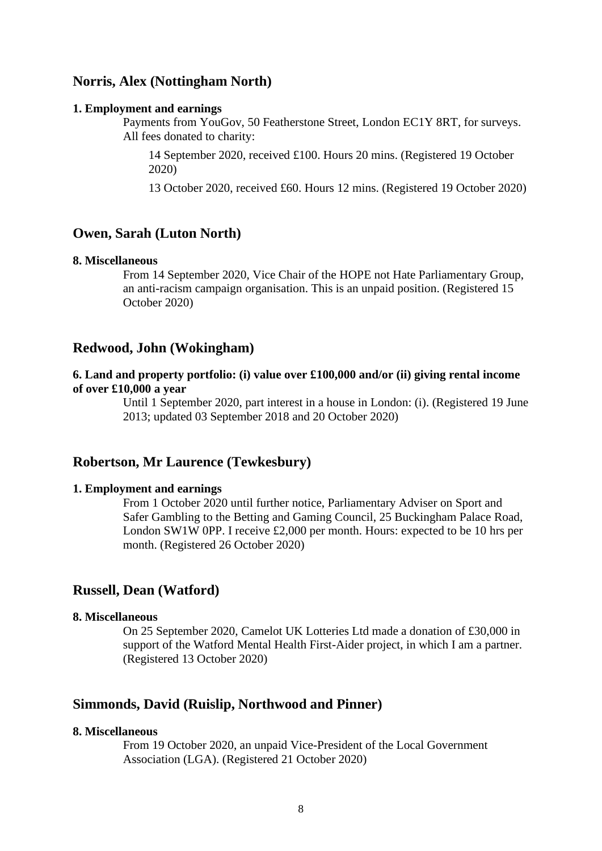# **Norris, Alex (Nottingham North)**

#### **1. Employment and earnings**

Payments from YouGov, 50 Featherstone Street, London EC1Y 8RT, for surveys. All fees donated to charity:

14 September 2020, received £100. Hours 20 mins. (Registered 19 October 2020)

13 October 2020, received £60. Hours 12 mins. (Registered 19 October 2020)

### **Owen, Sarah (Luton North)**

### **8. Miscellaneous**

From 14 September 2020, Vice Chair of the HOPE not Hate Parliamentary Group, an anti-racism campaign organisation. This is an unpaid position. (Registered 15 October 2020)

### **Redwood, John (Wokingham)**

### **6. Land and property portfolio: (i) value over £100,000 and/or (ii) giving rental income of over £10,000 a year**

Until 1 September 2020, part interest in a house in London: (i). (Registered 19 June 2013; updated 03 September 2018 and 20 October 2020)

# **Robertson, Mr Laurence (Tewkesbury)**

### **1. Employment and earnings**

From 1 October 2020 until further notice, Parliamentary Adviser on Sport and Safer Gambling to the Betting and Gaming Council, 25 Buckingham Palace Road, London SW1W 0PP. I receive £2,000 per month. Hours: expected to be 10 hrs per month. (Registered 26 October 2020)

### **Russell, Dean (Watford)**

### **8. Miscellaneous**

On 25 September 2020, Camelot UK Lotteries Ltd made a donation of £30,000 in support of the Watford Mental Health First-Aider project, in which I am a partner. (Registered 13 October 2020)

# **Simmonds, David (Ruislip, Northwood and Pinner)**

### **8. Miscellaneous**

From 19 October 2020, an unpaid Vice-President of the Local Government Association (LGA). (Registered 21 October 2020)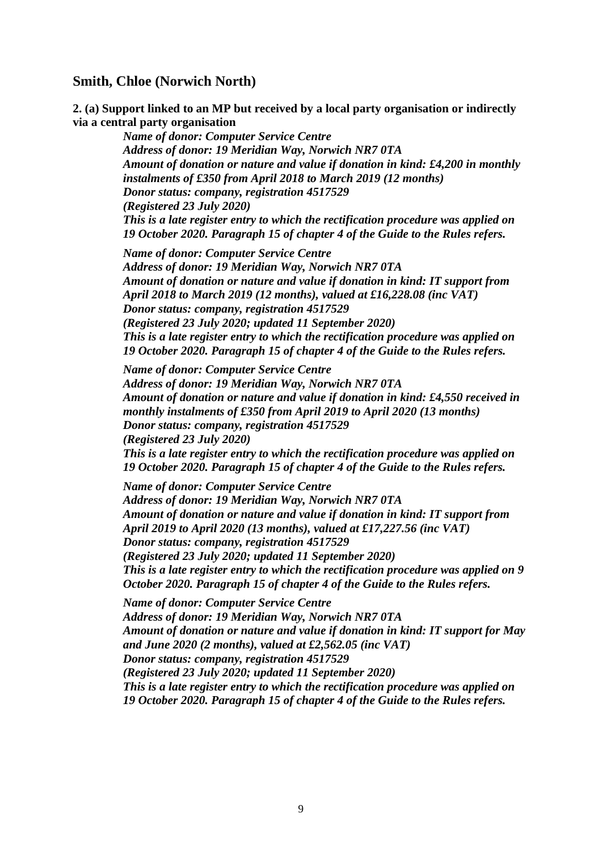# **Smith, Chloe (Norwich North)**

**2. (a) Support linked to an MP but received by a local party organisation or indirectly via a central party organisation**

*Name of donor: Computer Service Centre Address of donor: 19 Meridian Way, Norwich NR7 0TA Amount of donation or nature and value if donation in kind: £4,200 in monthly instalments of £350 from April 2018 to March 2019 (12 months) Donor status: company, registration 4517529 (Registered 23 July 2020) This is a late register entry to which the rectification procedure was applied on 19 October 2020. Paragraph 15 of chapter 4 of the Guide to the Rules refers. Name of donor: Computer Service Centre Address of donor: 19 Meridian Way, Norwich NR7 0TA Amount of donation or nature and value if donation in kind: IT support from April 2018 to March 2019 (12 months), valued at £16,228.08 (inc VAT) Donor status: company, registration 4517529 (Registered 23 July 2020; updated 11 September 2020) This is a late register entry to which the rectification procedure was applied on 19 October 2020. Paragraph 15 of chapter 4 of the Guide to the Rules refers. Name of donor: Computer Service Centre Address of donor: 19 Meridian Way, Norwich NR7 0TA Amount of donation or nature and value if donation in kind: £4,550 received in monthly instalments of £350 from April 2019 to April 2020 (13 months) Donor status: company, registration 4517529 (Registered 23 July 2020) This is a late register entry to which the rectification procedure was applied on 19 October 2020. Paragraph 15 of chapter 4 of the Guide to the Rules refers. Name of donor: Computer Service Centre Address of donor: 19 Meridian Way, Norwich NR7 0TA Amount of donation or nature and value if donation in kind: IT support from April 2019 to April 2020 (13 months), valued at £17,227.56 (inc VAT) Donor status: company, registration 4517529 (Registered 23 July 2020; updated 11 September 2020) This is a late register entry to which the rectification procedure was applied on 9 October 2020. Paragraph 15 of chapter 4 of the Guide to the Rules refers.*

*Name of donor: Computer Service Centre Address of donor: 19 Meridian Way, Norwich NR7 0TA Amount of donation or nature and value if donation in kind: IT support for May and June 2020 (2 months), valued at £2,562.05 (inc VAT) Donor status: company, registration 4517529 (Registered 23 July 2020; updated 11 September 2020) This is a late register entry to which the rectification procedure was applied on 19 October 2020. Paragraph 15 of chapter 4 of the Guide to the Rules refers.*